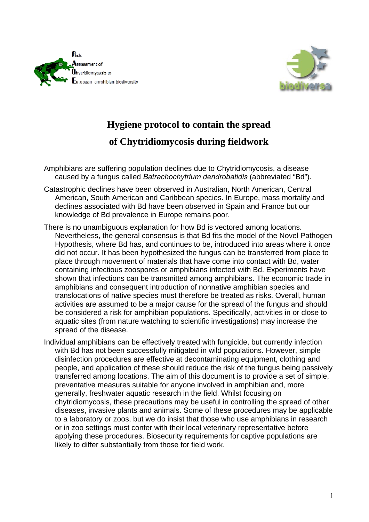



## **Hygiene protocol to contain the spread of Chytridiomycosis during fieldwork**

- Amphibians are suffering population declines due to Chytridiomycosis, a disease caused by a fungus called *Batrachochytrium dendrobatidis* (abbreviated "Bd").
- Catastrophic declines have been observed in Australian, North American, Central American, South American and Caribbean species. In Europe, mass mortality and declines associated with Bd have been observed in Spain and France but our knowledge of Bd prevalence in Europe remains poor.
- There is no unambiguous explanation for how Bd is vectored among locations. Nevertheless, the general consensus is that Bd fits the model of the Novel Pathogen Hypothesis, where Bd has, and continues to be, introduced into areas where it once did not occur. It has been hypothesized the fungus can be transferred from place to place through movement of materials that have come into contact with Bd, water containing infectious zoospores or amphibians infected with Bd. Experiments have shown that infections can be transmitted among amphibians. The economic trade in amphibians and consequent introduction of nonnative amphibian species and translocations of native species must therefore be treated as risks. Overall, human activities are assumed to be a major cause for the spread of the fungus and should be considered a risk for amphibian populations. Specifically, activities in or close to aquatic sites (from nature watching to scientific investigations) may increase the spread of the disease.
- Individual amphibians can be effectively treated with fungicide, but currently infection with Bd has not been successfully mitigated in wild populations. However, simple disinfection procedures are effective at decontaminating equipment, clothing and people, and application of these should reduce the risk of the fungus being passively transferred among locations. The aim of this document is to provide a set of simple, preventative measures suitable for anyone involved in amphibian and, more generally, freshwater aquatic research in the field. Whilst focusing on chytridiomycosis, these precautions may be useful in controlling the spread of other diseases, invasive plants and animals. Some of these procedures may be applicable to a laboratory or zoos, but we do insist that those who use amphibians in research or in zoo settings must confer with their local veterinary representative before applying these procedures. Biosecurity requirements for captive populations are likely to differ substantially from those for field work.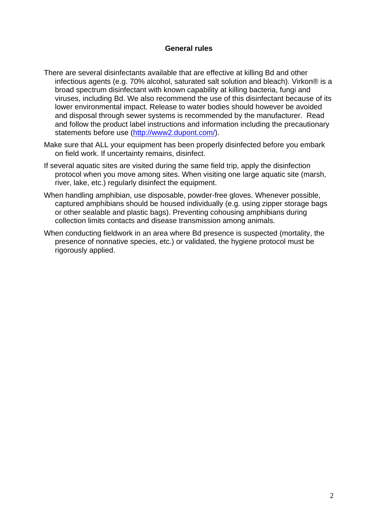## **General rules**

- There are several disinfectants available that are effective at killing Bd and other infectious agents (e.g. 70% alcohol, saturated salt solution and bleach). Virkon® is a broad spectrum disinfectant with known capability at killing bacteria, fungi and viruses, including Bd. We also recommend the use of this disinfectant because of its lower environmental impact. Release to water bodies should however be avoided and disposal through sewer systems is recommended by the manufacturer. Read and follow the product label instructions and information including the precautionary statements before use (http://www2.dupont.com/).
- Make sure that ALL your equipment has been properly disinfected before you embark on field work. If uncertainty remains, disinfect.
- If several aquatic sites are visited during the same field trip, apply the disinfection protocol when you move among sites. When visiting one large aquatic site (marsh, river, lake, etc.) regularly disinfect the equipment.
- When handling amphibian, use disposable, powder-free gloves. Whenever possible, captured amphibians should be housed individually (e.g. using zipper storage bags or other sealable and plastic bags). Preventing cohousing amphibians during collection limits contacts and disease transmission among animals.
- When conducting fieldwork in an area where Bd presence is suspected (mortality, the presence of nonnative species, etc.) or validated, the hygiene protocol must be rigorously applied.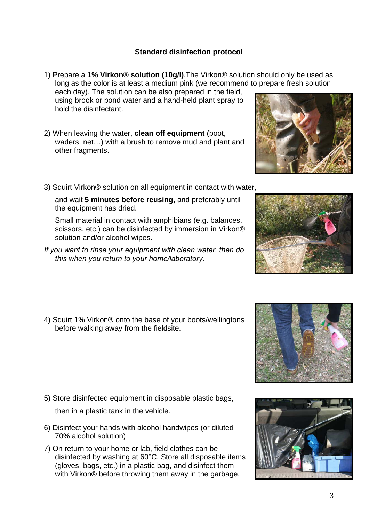## **Standard disinfection protocol**

3

- 1) Prepare a **1% Virkon**® **solution (10g/l)**.The Virkon® solution should only be used as long as the color is at least a medium pink (we recommend to prepare fresh solution each day). The solution can be also prepared in the field, using brook or pond water and a hand-held plant spray to hold the disinfectant.
- 2) When leaving the water, **clean off equipment** (boot, waders, net…) with a brush to remove mud and plant and other fragments.
- 3) Squirt Virkon® solution on all equipment in contact with water,

and wait **5 minutes before reusing,** and preferably until the equipment has dried.

Small material in contact with amphibians (e.g. balances, scissors, etc.) can be disinfected by immersion in Virkon® solution and/or alcohol wipes.

- *If you want to rinse your equipment with clean water, then do this when you return to your home/laboratory.*
- 4) Squirt 1% Virkon® onto the base of your boots/wellingtons before walking away from the fieldsite.

5) Store disinfected equipment in disposable plastic bags,

then in a plastic tank in the vehicle.

- 6) Disinfect your hands with alcohol handwipes (or diluted 70% alcohol solution)
- 7) On return to your home or lab, field clothes can be disinfected by washing at 60°C. Store all disposable items (gloves, bags, etc.) in a plastic bag, and disinfect them with Virkon® before throwing them away in the garbage.